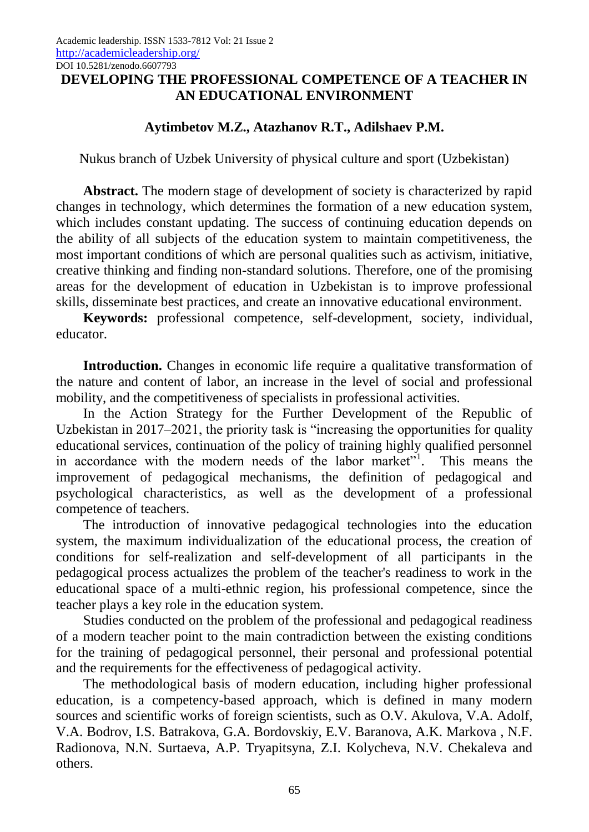## **DEVELOPING THE PROFESSIONAL COMPETENCE OF A TEACHER IN AN EDUCATIONAL ENVIRONMENT**

## **Aytimbetov M.Z., Atazhanov R.T., Adilshaev P.M.**

Nukus branch of Uzbek University of physical culture and sport (Uzbekistan)

Abstract. The modern stage of development of society is characterized by rapid changes in technology, which determines the formation of a new education system, which includes constant updating. The success of continuing education depends on the ability of all subjects of the education system to maintain competitiveness, the most important conditions of which are personal qualities such as activism, initiative, creative thinking and finding non-standard solutions. Therefore, one of the promising areas for the development of education in Uzbekistan is to improve professional skills, disseminate best practices, and create an innovative educational environment.

**Keywords:** professional competence, self-development, society, individual, educator.

**Introduction.** Changes in economic life require a qualitative transformation of the nature and content of labor, an increase in the level of social and professional mobility, and the competitiveness of specialists in professional activities.

In the Action Strategy for the Further Development of the Republic of Uzbekistan in 2017–2021, the priority task is "increasing the opportunities for quality educational services, continuation of the policy of training highly qualified personnel in accordance with the modern needs of the labor market"<sup>1</sup>. This means the improvement of pedagogical mechanisms, the definition of pedagogical and psychological characteristics, as well as the development of a professional competence of teachers.

The introduction of innovative pedagogical technologies into the education system, the maximum individualization of the educational process, the creation of conditions for self-realization and self-development of all participants in the pedagogical process actualizes the problem of the teacher's readiness to work in the educational space of a multi-ethnic region, his professional competence, since the teacher plays a key role in the education system.

Studies conducted on the problem of the professional and pedagogical readiness of a modern teacher point to the main contradiction between the existing conditions for the training of pedagogical personnel, their personal and professional potential and the requirements for the effectiveness of pedagogical activity.

The methodological basis of modern education, including higher professional education, is a competency-based approach, which is defined in many modern sources and scientific works of foreign scientists, such as O.V. Akulova, V.A. Adolf, V.A. Bodrov, I.S. Batrakova, G.A. Bordovskiy, E.V. Baranova, A.K. Markova , N.F. Radionova, N.N. Surtaeva, A.P. Tryapitsyna, Z.I. Kolycheva, N.V. Chekaleva and others.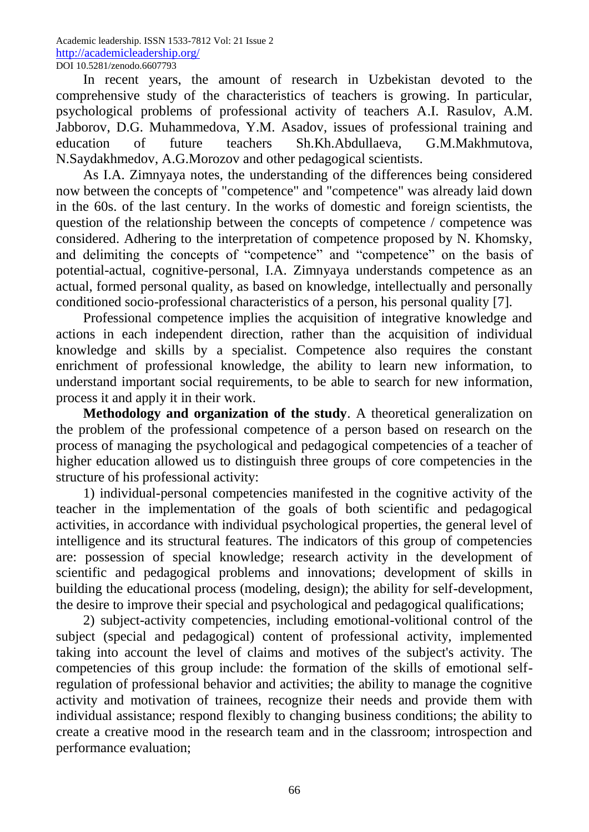In recent years, the amount of research in Uzbekistan devoted to the comprehensive study of the characteristics of teachers is growing. In particular, psychological problems of professional activity of teachers A.I. Rasulov, A.M. Jabborov, D.G. Muhammedova, Y.M. Asadov, issues of professional training and education of future teachers Sh.Kh.Abdullaeva, G.M.Makhmutova, N.Saydakhmedov, A.G.Morozov and other pedagogical scientists.

As I.A. Zimnyaya notes, the understanding of the differences being considered now between the concepts of "competence" and "competence" was already laid down in the 60s. of the last century. In the works of domestic and foreign scientists, the question of the relationship between the concepts of competence / competence was considered. Adhering to the interpretation of competence proposed by N. Khomsky, and delimiting the concepts of "competence" and "competence" on the basis of potential-actual, cognitive-personal, I.A. Zimnyaya understands competence as an actual, formed personal quality, as based on knowledge, intellectually and personally conditioned socio-professional characteristics of a person, his personal quality [7].

Professional competence implies the acquisition of integrative knowledge and actions in each independent direction, rather than the acquisition of individual knowledge and skills by a specialist. Competence also requires the constant enrichment of professional knowledge, the ability to learn new information, to understand important social requirements, to be able to search for new information, process it and apply it in their work.

**Methodology and organization of the study**. A theoretical generalization on the problem of the professional competence of a person based on research on the process of managing the psychological and pedagogical competencies of a teacher of higher education allowed us to distinguish three groups of core competencies in the structure of his professional activity:

1) individual-personal competencies manifested in the cognitive activity of the teacher in the implementation of the goals of both scientific and pedagogical activities, in accordance with individual psychological properties, the general level of intelligence and its structural features. The indicators of this group of competencies are: possession of special knowledge; research activity in the development of scientific and pedagogical problems and innovations; development of skills in building the educational process (modeling, design); the ability for self-development, the desire to improve their special and psychological and pedagogical qualifications;

2) subject-activity competencies, including emotional-volitional control of the subject (special and pedagogical) content of professional activity, implemented taking into account the level of claims and motives of the subject's activity. The competencies of this group include: the formation of the skills of emotional selfregulation of professional behavior and activities; the ability to manage the cognitive activity and motivation of trainees, recognize their needs and provide them with individual assistance; respond flexibly to changing business conditions; the ability to create a creative mood in the research team and in the classroom; introspection and performance evaluation;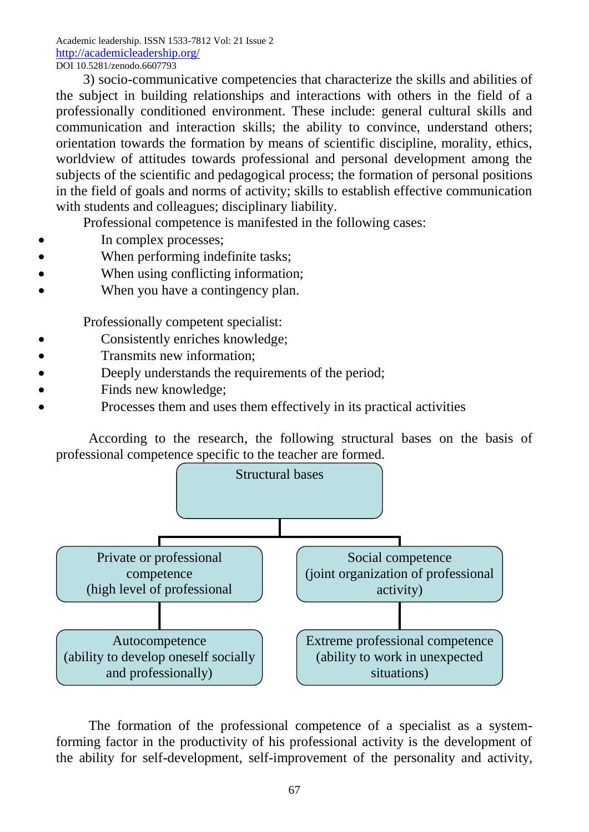3) socio-communicative competencies that characterize the skills and abilities of the subject in building relationships and interactions with others in the field of a professionally conditioned environment. These include: general cultural skills and communication and interaction skills; the ability to convince, understand others; orientation towards the formation by means of scientific discipline, morality, ethics, worldview of attitudes towards professional and personal development among the subjects of the scientific and pedagogical process; the formation of personal positions in the field of goals and norms of activity; skills to establish effective communication with students and colleagues; disciplinary liability.

Professional competence is manifested in the following cases:

- In complex processes;
- When performing indefinite tasks;
- When using conflicting information;
- When you have a contingency plan.

Professionally competent specialist:

- Consistently enriches knowledge;
- Transmits new information;
- Deeply understands the requirements of the period;
- Finds new knowledge;
- Processes them and uses them effectively in its practical activities

According to the research, the following structural bases on the basis of professional competence specific to the teacher are formed.



The formation of the professional competence of a specialist as a systemforming factor in the productivity of his professional activity is the development of the ability for self-development, self-improvement of the personality and activity,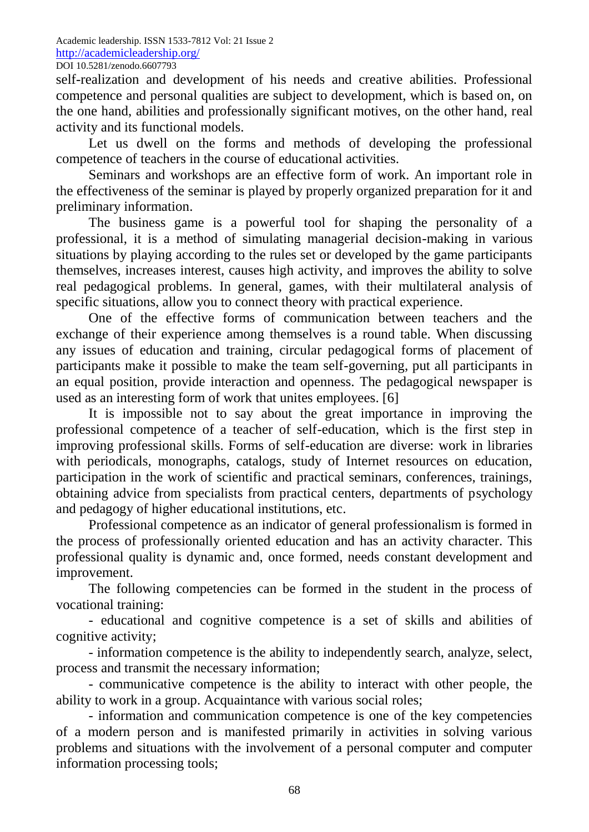self-realization and development of his needs and creative abilities. Professional competence and personal qualities are subject to development, which is based on, on the one hand, abilities and professionally significant motives, on the other hand, real activity and its functional models.

Let us dwell on the forms and methods of developing the professional competence of teachers in the course of educational activities.

Seminars and workshops are an effective form of work. An important role in the effectiveness of the seminar is played by properly organized preparation for it and preliminary information.

The business game is a powerful tool for shaping the personality of a professional, it is a method of simulating managerial decision-making in various situations by playing according to the rules set or developed by the game participants themselves, increases interest, causes high activity, and improves the ability to solve real pedagogical problems. In general, games, with their multilateral analysis of specific situations, allow you to connect theory with practical experience.

One of the effective forms of communication between teachers and the exchange of their experience among themselves is a round table. When discussing any issues of education and training, circular pedagogical forms of placement of participants make it possible to make the team self-governing, put all participants in an equal position, provide interaction and openness. The pedagogical newspaper is used as an interesting form of work that unites employees. [6]

It is impossible not to say about the great importance in improving the professional competence of a teacher of self-education, which is the first step in improving professional skills. Forms of self-education are diverse: work in libraries with periodicals, monographs, catalogs, study of Internet resources on education, participation in the work of scientific and practical seminars, conferences, trainings, obtaining advice from specialists from practical centers, departments of psychology and pedagogy of higher educational institutions, etc.

Professional competence as an indicator of general professionalism is formed in the process of professionally oriented education and has an activity character. This professional quality is dynamic and, once formed, needs constant development and improvement.

The following competencies can be formed in the student in the process of vocational training:

- educational and cognitive competence is a set of skills and abilities of cognitive activity;

- information competence is the ability to independently search, analyze, select, process and transmit the necessary information;

- communicative competence is the ability to interact with other people, the ability to work in a group. Acquaintance with various social roles;

- information and communication competence is one of the key competencies of a modern person and is manifested primarily in activities in solving various problems and situations with the involvement of a personal computer and computer information processing tools;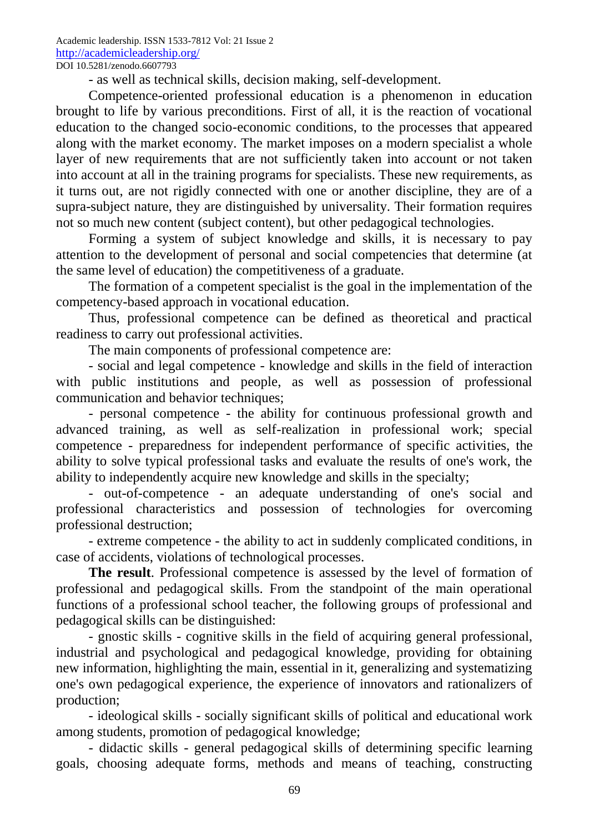- as well as technical skills, decision making, self-development.

Competence-oriented professional education is a phenomenon in education brought to life by various preconditions. First of all, it is the reaction of vocational education to the changed socio-economic conditions, to the processes that appeared along with the market economy. The market imposes on a modern specialist a whole layer of new requirements that are not sufficiently taken into account or not taken into account at all in the training programs for specialists. These new requirements, as it turns out, are not rigidly connected with one or another discipline, they are of a supra-subject nature, they are distinguished by universality. Their formation requires not so much new content (subject content), but other pedagogical technologies.

Forming a system of subject knowledge and skills, it is necessary to pay attention to the development of personal and social competencies that determine (at the same level of education) the competitiveness of a graduate.

The formation of a competent specialist is the goal in the implementation of the competency-based approach in vocational education.

Thus, professional competence can be defined as theoretical and practical readiness to carry out professional activities.

The main components of professional competence are:

- social and legal competence - knowledge and skills in the field of interaction with public institutions and people, as well as possession of professional communication and behavior techniques;

- personal competence - the ability for continuous professional growth and advanced training, as well as self-realization in professional work; special competence - preparedness for independent performance of specific activities, the ability to solve typical professional tasks and evaluate the results of one's work, the ability to independently acquire new knowledge and skills in the specialty;

- out-of-competence - an adequate understanding of one's social and professional characteristics and possession of technologies for overcoming professional destruction;

- extreme competence - the ability to act in suddenly complicated conditions, in case of accidents, violations of technological processes.

**The result**. Professional competence is assessed by the level of formation of professional and pedagogical skills. From the standpoint of the main operational functions of a professional school teacher, the following groups of professional and pedagogical skills can be distinguished:

- gnostic skills - cognitive skills in the field of acquiring general professional, industrial and psychological and pedagogical knowledge, providing for obtaining new information, highlighting the main, essential in it, generalizing and systematizing one's own pedagogical experience, the experience of innovators and rationalizers of production;

- ideological skills - socially significant skills of political and educational work among students, promotion of pedagogical knowledge;

- didactic skills - general pedagogical skills of determining specific learning goals, choosing adequate forms, methods and means of teaching, constructing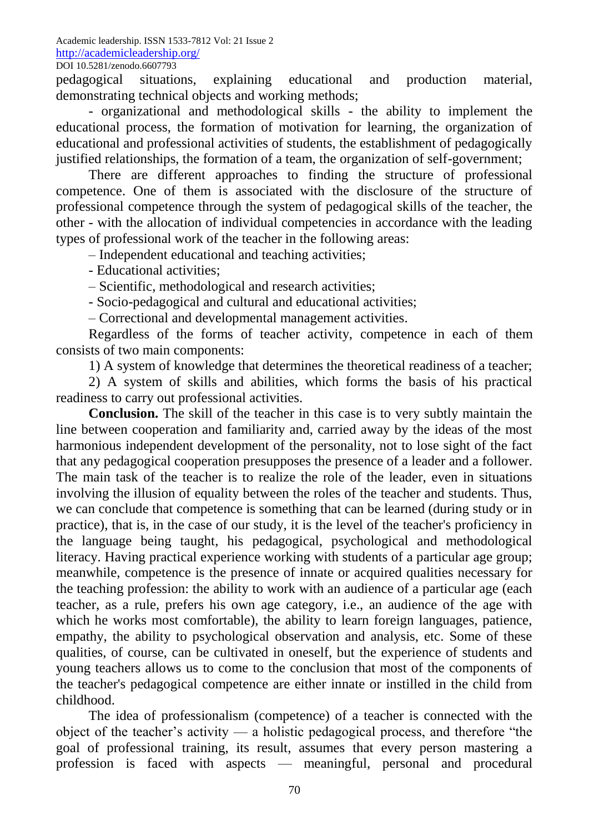pedagogical situations, explaining educational and production material, demonstrating technical objects and working methods;

- organizational and methodological skills - the ability to implement the educational process, the formation of motivation for learning, the organization of educational and professional activities of students, the establishment of pedagogically justified relationships, the formation of a team, the organization of self-government;

There are different approaches to finding the structure of professional competence. One of them is associated with the disclosure of the structure of professional competence through the system of pedagogical skills of the teacher, the other - with the allocation of individual competencies in accordance with the leading types of professional work of the teacher in the following areas:

– Independent educational and teaching activities;

- Educational activities;

– Scientific, methodological and research activities;

- Socio-pedagogical and cultural and educational activities;

– Correctional and developmental management activities.

Regardless of the forms of teacher activity, competence in each of them consists of two main components:

1) A system of knowledge that determines the theoretical readiness of a teacher;

2) A system of skills and abilities, which forms the basis of his practical readiness to carry out professional activities.

**Conclusion.** The skill of the teacher in this case is to very subtly maintain the line between cooperation and familiarity and, carried away by the ideas of the most harmonious independent development of the personality, not to lose sight of the fact that any pedagogical cooperation presupposes the presence of a leader and a follower. The main task of the teacher is to realize the role of the leader, even in situations involving the illusion of equality between the roles of the teacher and students. Thus, we can conclude that competence is something that can be learned (during study or in practice), that is, in the case of our study, it is the level of the teacher's proficiency in the language being taught, his pedagogical, psychological and methodological literacy. Having practical experience working with students of a particular age group; meanwhile, competence is the presence of innate or acquired qualities necessary for the teaching profession: the ability to work with an audience of a particular age (each teacher, as a rule, prefers his own age category, i.e., an audience of the age with which he works most comfortable), the ability to learn foreign languages, patience, empathy, the ability to psychological observation and analysis, etc. Some of these qualities, of course, can be cultivated in oneself, but the experience of students and young teachers allows us to come to the conclusion that most of the components of the teacher's pedagogical competence are either innate or instilled in the child from childhood.

The idea of professionalism (competence) of a teacher is connected with the object of the teacher's activity — a holistic pedagogical process, and therefore "the goal of professional training, its result, assumes that every person mastering a profession is faced with aspects — meaningful, personal and procedural